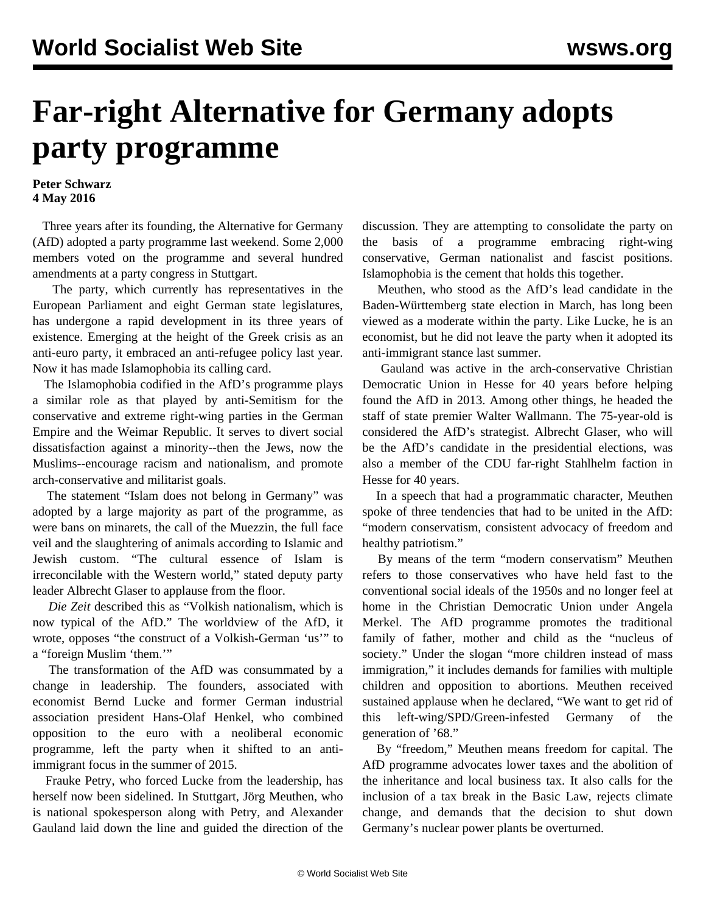## **Far-right Alternative for Germany adopts party programme**

## **Peter Schwarz 4 May 2016**

 Three years after its founding, the Alternative for Germany (AfD) adopted a party programme last weekend. Some 2,000 members voted on the programme and several hundred amendments at a party congress in Stuttgart.

 The party, which currently has representatives in the European Parliament and eight German state legislatures, has undergone a rapid development in its three years of existence. Emerging at the height of the Greek crisis as an anti-euro party, it embraced an anti-refugee policy last year. Now it has made Islamophobia its calling card.

 The Islamophobia codified in the AfD's programme plays a similar role as that played by anti-Semitism for the conservative and extreme right-wing parties in the German Empire and the Weimar Republic. It serves to divert social dissatisfaction against a minority--then the Jews, now the Muslims--encourage racism and nationalism, and promote arch-conservative and militarist goals.

 The statement "Islam does not belong in Germany" was adopted by a large majority as part of the programme, as were bans on minarets, the call of the Muezzin, the full face veil and the slaughtering of animals according to Islamic and Jewish custom. "The cultural essence of Islam is irreconcilable with the Western world," stated deputy party leader Albrecht Glaser to applause from the floor.

 *Die Zeit* described this as "Volkish nationalism, which is now typical of the AfD." The worldview of the AfD, it wrote, opposes "the construct of a Volkish-German 'us'" to a "foreign Muslim 'them.'"

 The transformation of the AfD was consummated by a change in leadership. The founders, associated with economist Bernd Lucke and former German industrial association president Hans-Olaf Henkel, who combined opposition to the euro with a neoliberal economic programme, left the party when it shifted to an antiimmigrant focus in the summer of 2015.

 Frauke Petry, who forced Lucke from the leadership, has herself now been sidelined. In Stuttgart, Jörg Meuthen, who is national spokesperson along with Petry, and Alexander Gauland laid down the line and guided the direction of the discussion. They are attempting to consolidate the party on the basis of a programme embracing right-wing conservative, German nationalist and fascist positions. Islamophobia is the cement that holds this together.

 Meuthen, who stood as the AfD's lead candidate in the Baden-Württemberg state election in March, has long been viewed as a moderate within the party. Like Lucke, he is an economist, but he did not leave the party when it adopted its anti-immigrant stance last summer.

 Gauland was active in the arch-conservative Christian Democratic Union in Hesse for 40 years before helping found the AfD in 2013. Among other things, he headed the staff of state premier Walter Wallmann. The 75-year-old is considered the AfD's strategist. Albrecht Glaser, who will be the AfD's candidate in the presidential elections, was also a member of the CDU far-right Stahlhelm faction in Hesse for 40 years.

 In a speech that had a programmatic character, Meuthen spoke of three tendencies that had to be united in the AfD: "modern conservatism, consistent advocacy of freedom and healthy patriotism."

 By means of the term "modern conservatism" Meuthen refers to those conservatives who have held fast to the conventional social ideals of the 1950s and no longer feel at home in the Christian Democratic Union under Angela Merkel. The AfD programme promotes the traditional family of father, mother and child as the "nucleus of society." Under the slogan "more children instead of mass immigration," it includes demands for families with multiple children and opposition to abortions. Meuthen received sustained applause when he declared, "We want to get rid of this left-wing/SPD/Green-infested Germany of the generation of '68."

 By "freedom," Meuthen means freedom for capital. The AfD programme advocates lower taxes and the abolition of the inheritance and local business tax. It also calls for the inclusion of a tax break in the Basic Law, rejects climate change, and demands that the decision to shut down Germany's nuclear power plants be overturned.